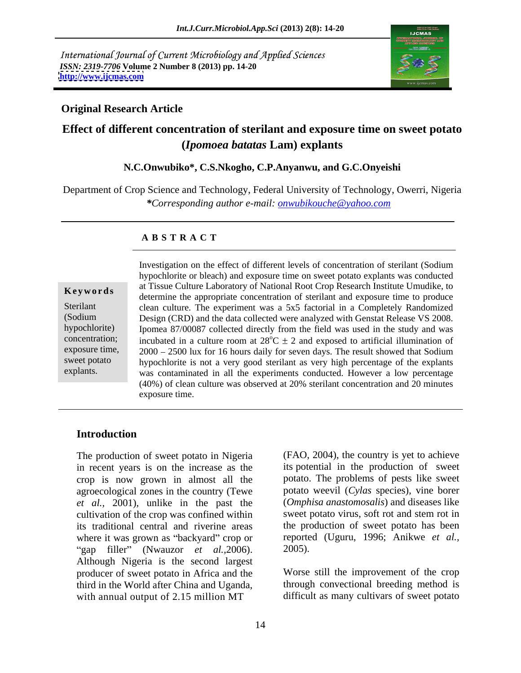International Journal of Current Microbiology and Applied Sciences *ISSN: 2319-7706* **Volume 2 Number 8 (2013) pp. 14-20 <http://www.ijcmas.com>**



## **Original Research Article**

# **Effect of different concentration of sterilant and exposure time on sweet potato (***Ipomoea batatas* **Lam) explants**

### **N.C.Onwubiko\*, C.S.Nkogho, C.P.Anyanwu, and G.C.Onyeishi**

Department of Crop Science and Technology, Federal University of Technology, Owerri, Nigeria *\*Corresponding author e-mail: onwubikouche@yahoo.com*

### **A B S T R A C T**

**Keywords** at ISSUE Culture Laboratory of National Root Crop Research Institute Unitaristic to determine the appropriate concentration of sterilant and exposure time to produce Sterilant clean culture. The experiment was a 5x5 factorial in a Completely Randomized (Sodium Design (CRD) and the data collected were analyzed with Genstat Release VS 2008. hypochlorite) Ipomea 87/00087 collected directly from the field was used in the study and was concentration; incubated in a culture room at  $28^{\circ}C \pm 2$  and exposed to artificial illumination of exposure time,  $2000 - 2500$  lux for 16 hours daily for seven days. The result showed that Sodium sweet potato hypochlorite is not a very good sterilant as very high percentage of the explants explants. was contaminated in all the experiments conducted. However a low percentage Investigation on the effect of different levels of concentration of sterilant (Sodium hypochlorite or bleach) and exposure time on sweet potato explants was conducted at Tissue Culture Laboratory of National Root Crop Research Institute Umudike, to (40%) of clean culture was observed at 20% sterilant concentration and 20 minutes exposure time.

## **Introduction**

The production of sweet potato in Nigeria in recent years is on the increase as the its potential in the production of sweet crop is now grown in almost all the agroecological zones in the country (Tewe *et al.,* 2001), unlike in the past the cultivation of the crop was confined within its traditional central and riverine areas where it was grown as "backyard" crop or reporte<br>"gap filler" (Nwauzor *et al.* 2006). 2005). "gap filler" (Nwauzor *et al.*, 2006). Although Nigeria is the second largest producer of sweet potato in Africa and the third in the World after China and Uganda, through convectional breeding method is with annual output of 2.15 million MT

(FAO, 2004), the country is yet to achieve potato. The problems of pests like sweet potato weevil (*Cylas* species), vine borer (*Omphisa anastomosalis*) and diseases like sweet potato virus, soft rot and stem rot in the production of sweet potato has been reported (Uguru, 1996; Anikwe *et al.,* 2005).

Worse still the improvement of the crop difficult as many cultivars of sweet potato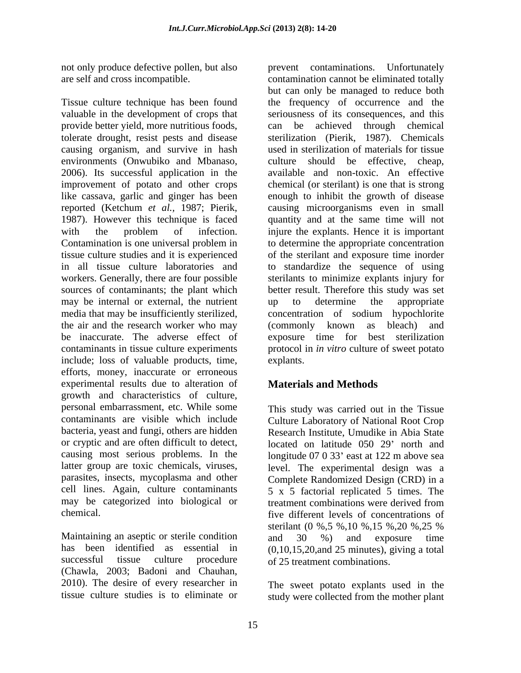not only produce defective pollen, but also

Tissue culture technique has been found valuable in the development of crops that seriousness of its consequences, and this provide better yield, more nutritious foods, tolerate drought, resist pests and disease causing organism, and survive in hash environments (Onwubiko and Mbanaso, culture should be effective, cheap, 2006). Its successful application in the available and non-toxic. An effective improvement of potato and other crops chemical(or sterilant) is one that is strong like cassava, garlic and ginger has been enough to inhibit the growth of disease reported (Ketchum *et al.,* 1987; Pierik, causing microorganisms even in small 1987). However this technique is faced quantity and at the same time will not with the problem of infection. injure the explants. Hence it is important Contamination is one universal problem in to determine the appropriate concentration tissue culture studies and it is experienced of the sterilant and exposure time inorder in all tissue culture laboratories and to standardize the sequence of using workers. Generally, there are four possible sterilants to minimize explants injury for sources of contaminants; the plant which better result. Therefore this study was set may be internal or external, the nutrient up to determine the appropriate media that may be insufficiently sterilized, concentration of sodium hypochlorite the air and the research worker who may (commonly known as bleach) and be inaccurate. The adverse effect of exposure time for best sterilization contaminants in tissue culture experiments protocol in *in vitro* culture of sweet potato include; loss of valuable products, time, efforts, money, inaccurate or erroneous experimental results due to alteration of growth and characteristics of culture, personal embarrassment, etc. While some This study was carried out in the Tissue contaminants are visible which include Culture Laboratory of National Root Crop bacteria, yeast and fungi, others are hidden Research Institute, Umudike in Abia State or cryptic and are often difficult to detect, located on latitude 050 29 north and causing most serious problems. In the latter group are toxic chemicals, viruses, level. The experimental design was a parasites, insects, mycoplasma and other Complete Randomized Design (CRD) in a cell lines. Again, culture contaminants  $\begin{array}{c} 5 \times 5 \end{array}$  factorial replicated 5 times. The may be categorized into biological or treatment combinations were derived from

Maintaining an aseptic or sterile condition and 30 %) and exposure time has been identified as essential in (Chawla, 2003; Badoni and Chauhan, 2010). The desire of every researcher in The sweet potato explants used in the

are self and cross incompatible. contamination cannot be eliminated totally prevent contaminations. Unfortunately but can only be managed to reduce both the frequency of occurrence and the be achieved through chemical sterilization (Pierik, 1987). Chemicals used in sterilization of materials for tissue up to determine the appropriate concentration of sodium hypochlorite (commonly known as bleach) and explants.

# **Materials and Methods**

chemical. five different levels of concentrations of successful tissue culture procedure of 25 treatment combinations. longitude 07 0 33' east at 122 m above sea treatment combinations were derived from sterilant (0 %,5 %,10 %,15 %,20 %,25 % and 30 %) and exposure time  $(0,10,15,20,$  and 25 minutes), giving a total

tissue culture studies is to eliminate or study were collected from the mother plant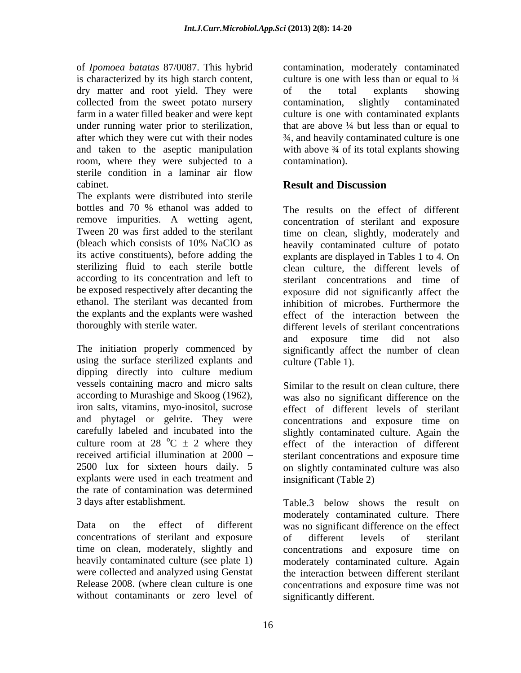is characterized by its high starch content, dry matter and root yield. They were of the total explants showing collected from the sweet potato nursery contamination, slightly contaminated under running water prior to sterilization, room, where they were subjected to a sterile condition in a laminar air flow cabinet. **Example 2** and **Result and Discussion** 

The explants were distributed into sterile bottles and 70 % ethanol was added to The results on the effect of different remove impurities. A wetting agent, be exposed respectively after decanting the the explants and the explants were washed

using the surface sterilized explants and dipping directly into culture medium vessels containing macro and micro salts according to Murashige and Skoog (1962), iron salts, vitamins, myo-inositol, sucrose effect of different levels of sterilant and phytagel or gelrite. They were concentrations and exposure time on carefully labeled and incubated into the culture room at 28  $^{\circ}$ C  $\pm$  2 where they effect of the interaction of different received artificial illumination at 2000 sterilant concentrations and exposure time 2500 lux for sixteen hours daily. 5 on slightly contaminated culture was also explants were used in each treatment and the rate of contamination was determined 3 days after establishment. Table 3 below shows the result on

concentrations of sterilant and exposure were collected and analyzed using Genstat without contaminants or zero level of

of *Ipomoea batatas* 87/0087. This hybrid contamination, moderately contaminated farm in a water filled beaker and were kept culture is one with contaminated explants after which they were cut with their nodes ¾, and heavily contaminated culture is one and taken to the aseptic manipulation with above 3/4 of its total explants showing culture is one with less than or equal to  $\frac{1}{4}$ of the total explants showing contamination, slightly contaminated that are above  $\frac{1}{4}$  but less than or equal to contamination).

# **Result and Discussion**

Tween 20 was first added to the sterilant time on clean, slightly, moderately and (bleach which consists of 10% NaClO as heavily contaminated culture of potato its active constituents), before adding the explants are displayed in Tables 1 to 4. On sterilizing fluid to each sterile bottle clean culture, the different levels of according to its concentration and left to sterilant concentrations and time of ethanol. The sterilant was decanted from inhibition of microbes. Furthermore the thoroughly with sterile water. different levels of sterilant concentrations The initiation properly commenced by significantly affect the number of clean concentration of sterilant and exposure exposure did not significantly affect the effect of the interaction between the and exposure time did not also culture (Table 1).

> Similar to the result on clean culture, there was also no significant difference on the slightly contaminated culture. Again the insignificant (Table 2)

Data on the effect of different was no significant difference on the effect time on clean, moderately, slightly and concentrations and exposure time on heavily contaminated culture (see plate 1) moderately contaminated culture. Again Release 2008. (where clean culture is one concentrations and exposure time was not Table.3 below shows the result on moderately contaminated culture. There of different levels of sterilant the interaction between different sterilant significantly different.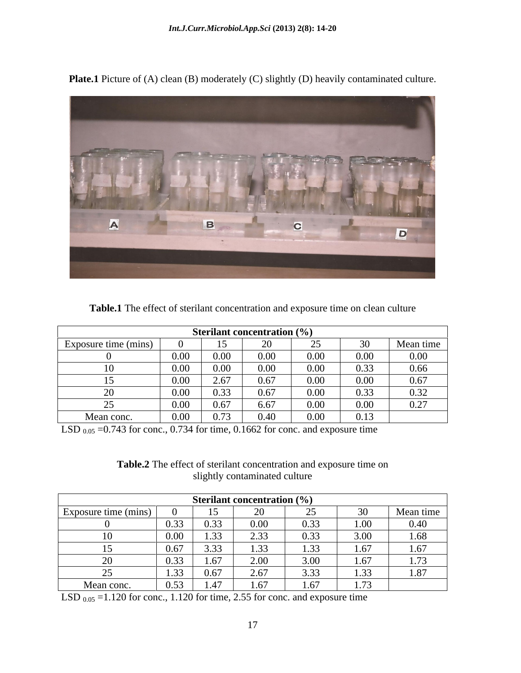

**Plate.1** Picture of (A) clean (B) moderately (C) slightly (D) heavily contaminated culture.

| <b>Table.1</b> The effect of sterilant concentration and exposure time on clean culture |  |  |  |
|-----------------------------------------------------------------------------------------|--|--|--|
|                                                                                         |  |  |  |

| <b>Sterilant concentration</b> $(\%)$ |                           |                                       |          |      |              |                    |  |
|---------------------------------------|---------------------------|---------------------------------------|----------|------|--------------|--------------------|--|
| Exposure time (mins)                  |                           |                                       |          |      |              | Mean time          |  |
|                                       | $\Omega$<br>v.vv          | 0.00                                  | $0.00\,$ | 0.00 | 0.00         | 0.00               |  |
|                                       | $\Omega$<br>v.vv          | 0.00                                  | 0.00     | 0.00 | 0.22<br>0.33 | 0.66               |  |
|                                       | $\Omega$<br>v.vv          | 267<br>$\overline{\phantom{a}}$       | 0.67     | 0.00 | 0.00         | 0.67               |  |
|                                       | $\Omega$<br>v.vv          | 0.22<br>0.33                          | 0.67     | 0.00 | 0.33         | 0.22<br>0.32       |  |
|                                       | $\alpha$ $\alpha$<br>v.vv | 0.67<br>$\mathbf{v} \cdot \mathbf{v}$ | 6.67     | 0.00 | 0.00         | 0.27<br>$V \sim I$ |  |
| Mean conc.                            | 0.00<br>v.vv              | $\sim$ $\sim$<br>0.73                 | 0.40     | 0.00 | 0.13         |                    |  |

LSD  $_{0.05}$  =0.743 for conc., 0.734 for time, 0.1662 for conc. and exposure time

**Table.2** The effect of sterilant concentration and exposure time on slightly contaminated culture

| <b>Sterilant concentration</b> $(\%)$  |                       |                        |      |                                       |      |                    |  |
|----------------------------------------|-----------------------|------------------------|------|---------------------------------------|------|--------------------|--|
| $\blacksquare$<br>Exposure time (mins) |                       | ⊥ັ                     | ∠⊾   | ∼                                     |      | Mean time          |  |
|                                        | $\sim$ $\sim$<br>0.55 | 0.33                   | 0.00 | 0.33                                  | 00.1 | v.4v               |  |
|                                        | $0.00\,$              | 33<br>ر بي د           | 2.33 | 0.33                                  | 3.00 | 1.68               |  |
|                                        | 0.67                  | 3.33                   | 1.33 | $\Omega$<br>$\sim$<br>1.JJ            | 1.67 | 1.67               |  |
|                                        | <u>U.JJ</u>           | $\epsilon$<br>1.07     | 2.00 | 3.00                                  | 1.67 | $\sqrt{2}$<br>1.73 |  |
|                                        | 1.33                  | 0.67                   | 2.67 | 222<br>$\prec$ $\prec$<br><u>J.JJ</u> | 1.33 | $\Omega$<br>1.8/   |  |
| Mean conc.                             | 0.53                  | $\overline{A}$<br>1.41 | 1.67 | .67                                   | 1.73 |                    |  |

LSD  $_{0.05}$  =1.120 for conc., 1.120 for time, 2.55 for conc. and exposure time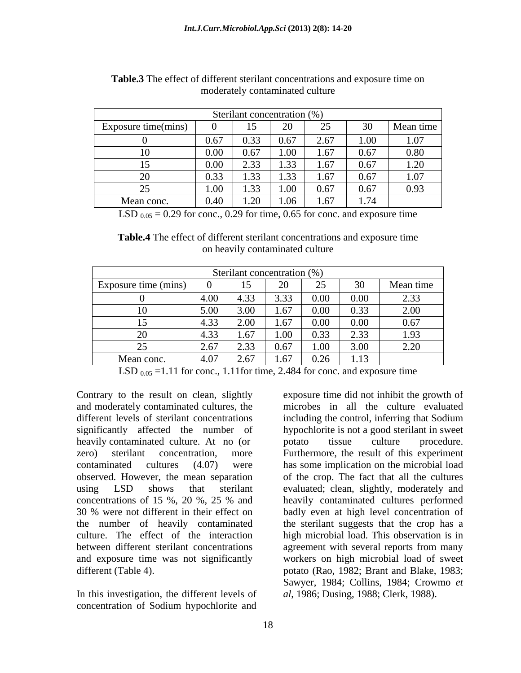| Sterilant concentration (%) |      |                    |      |      |                 |           |
|-----------------------------|------|--------------------|------|------|-----------------|-----------|
| Exposure time(mins)         |      |                    | 20   | ∼    | 30 <sup>2</sup> | Mean time |
|                             | 0.67 | 0.33               | 0.67 | 2.67 | 1.00            | 1.07      |
| 0                           | 0.00 | 67                 | 1.00 | 1.67 | 0.67            | 0.80      |
|                             | 0.00 | 2.33               | 1.33 | 1.67 | 0.67            | 1.20      |
|                             | 0.33 | 1.33               | 1.33 | 1.67 | 0.67            | 1.07      |
|                             | 1.00 | 1.33               | 1.00 | 0.67 | 0.67            | 0.93      |
| Mean conc.                  | 0.40 | $\Omega$<br>$\sim$ | 1.06 | 1.67 | 1.74            |           |

| <b>Table.3</b> The effect of different sterilant concentrations and exposure time on |  |
|--------------------------------------------------------------------------------------|--|
| moderately contaminated culture                                                      |  |

LSD  $_{0.05}$  = 0.29 for conc., 0.29 for time, 0.65 for conc. and exposure time

**Table.4** The effect of different sterilant concentrations and exposure time on heavily contaminated culture

| Sterilant concentration (%)                                        |
|--------------------------------------------------------------------|
| 30<br>Mean time<br>25<br>Exposure time (mins)<br>ZU<br>ں کے        |
| 0.00<br>$0.00\,$<br>3.33<br>4.00<br>2.33<br>4.33                   |
| 0.33<br>5.00<br>2.00<br>0.00<br>3.00                               |
| $0.00\,$<br>4.33<br>0.00<br>2.00<br>0.67<br>$\sim$                 |
| 4.33<br>0.33<br>2.33<br>1.93<br>1.67<br>$\sim$ 00                  |
| 1.00<br>2.20<br>3.00<br>2.33<br>0.67<br>2.67                       |
| 4.07<br>2.67<br>0.26<br>$\sim$<br>$\sqrt{2}$<br>Mean conc.<br>1.1J |

LSD  $_{0.05}$  =1.11 for conc., 1.11for time, 2.484 for conc. and exposure time

Contrary to the result on clean, slightly significantly affected the number of heavily contaminated culture. At no (or export the procedure culture procedure.

In this investigation, the different levels of concentration of Sodium hypochlorite and

and moderately contaminated cultures, the microbes in all the culture evaluated different levels of sterilant concentrations including the control, inferring that Sodium zero) sterilant concentration, more Furthermore, the result of this experiment contaminated cultures (4.07) were has some implication on the microbial load observed. However, the mean separation of the crop. The fact that all the cultures using LSD shows that sterilant evaluated; clean, slightly, moderately and concentrations of 15 %, 20 %, 25 % and heavily contaminated cultures performed 30 % were not different in their effect on badly even at high level concentration of the number of heavily contaminated the sterilant suggests that the crop has a culture. The effect of the interaction high microbial load. This observation is in between different sterilant concentrations agreement with several reports from many and exposure time was not significantly workers on high microbial load of sweet different (Table 4).  $\qquad \qquad$  potato (Rao, 1982; Brant and Blake, 1983; exposure time did not inhibit the growth of including the control, inferring that Sodium hypochlorite is not a good sterilant in sweet potato tissue culture procedure. Sawyer, 1984; Collins, 1984; Crowmo *et al*, 1986; Dusing, 1988; Clerk, 1988).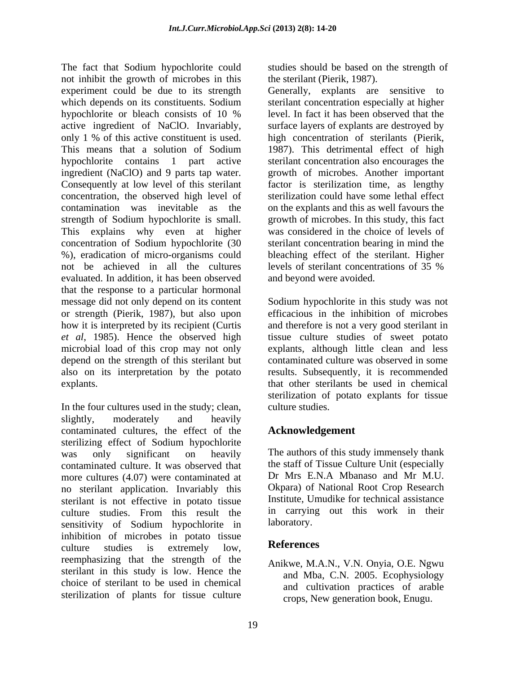The fact that Sodium hypochlorite could studies should be based on the strength of not inhibit the growth of microbes in this experiment could be due to its strength which depends on its constituents. Sodium hypochlorite or bleach consists of 10 % level. In fact it has been observed that the active ingredient of NaClO. Invariably, only 1 % of this active constituent is used. high concentration of sterilants (Pierik, This means that a solution of Sodium 1987). This detrimental effect of high hypochlorite contains 1 part active sterilant concentration also encourages the ingredient (NaClO) and 9 parts tap water. Consequently at low level of this sterilant concentration, the observed high level of contamination was inevitable as the on the explants and this as well favours the strength of Sodium hypochlorite is small. growth of microbes. In this study, this fact This explains why even at higher concentration of Sodium hypochlorite (30 %), eradication of micro-organisms could not be achieved in all the cultures levels of sterilant concentrations of 35 % evaluated. In addition, it has been observed that the response to a particular hormonal message did not only depend on its content Sodium hypochlorite in this study was not or strength (Pierik, 1987), but also upon efficacious in the inhibition of microbes how it is interpreted by its recipient (Curtis *et al*, 1985). Hence the observed high microbial load of this crop may not only depend on the strength of this sterilant but also on its interpretation by the potato results. Subsequently, it is recommended

In the four cultures used in the study; clean, culture studies. slightly, moderately and heavily contaminated cultures, the effect of the sterilizing effect of Sodium hypochlorite was only significant on heavily The authors of this study immensely thank contaminated culture. It was observed that more cultures (4.07) were contaminated at no sterilant application. Invariably this sterilant is not effective in potato tissue culture studies. From this result the in carryin<br>sensitivity of Sodium hypochlorite in laboratory. sensitivity of Sodium hypochlorite in inhibition of microbes in potato tissue<br>
autume studies is extremely low. References culture studies is extremely low, **References** reemphasizing that the strength of the sterilant in this study is low. Hence the choice of sterilant to be used in chemical sterilization of plants for tissue culture

the sterilant (Pierik, 1987).

Generally, explants are sensitive to sterilant concentration especially at higher level. In fact it has been observed that the surface layers of explants are destroyed by 1987). This detrimental effect of high growth of microbes. Another important factor is sterilization time, as lengthy sterilization could have some lethal effect was considered in the choice of levels of sterilant concentration bearing in mind the bleaching effect of the sterilant. Higher levels of sterilant concentrations of 35 % and beyond were avoided.

explants. that other sterilants be used in chemical and therefore is not a very good sterilant in tissue culture studies of sweet potato explants, although little clean and less contaminated culture was observed in some sterilization of potato explants for tissue culture studies.

# **Acknowledgement**

the staff of Tissue Culture Unit (especially Dr Mrs E.N.A Mbanaso and Mr M.U. Okpara) of National Root Crop Research Institute, Umudike for technical assistance in carrying out this work in their laboratory.

## **References**

Anikwe, M.A.N., V.N. Onyia, O.E. Ngwu and Mba, C.N. 2005. Ecophysiology and cultivation practices of arable crops, New generation book, Enugu.